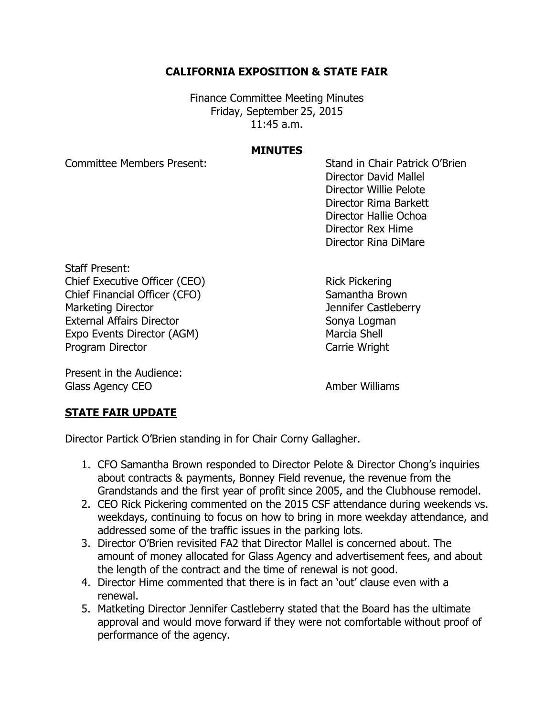## **CALIFORNIA EXPOSITION & STATE FAIR**

Finance Committee Meeting Minutes Friday, September 25, 2015 11:45 a.m.

## **MINUTES**

Committee Members Present: Stand in Chair Patrick O'Brien Director David Mallel Director Willie Pelote Director Rima Barkett Director Hallie Ochoa Director Rex Hime Director Rina DiMare

Staff Present: Chief Executive Officer (CEO) Rick Pickering Chief Financial Officer (CFO) Samantha Brown Marketing Director **Marketing Director** Marketing Director External Affairs Director Sonya Logman Expo Events Director (AGM) Marcia Shell Program Director **Carrie Wright** 

Present in the Audience: Glass Agency CEO **Amber Williams** 

## **STATE FAIR UPDATE**

Director Partick O'Brien standing in for Chair Corny Gallagher.

- 1. CFO Samantha Brown responded to Director Pelote & Director Chong's inquiries about contracts & payments, Bonney Field revenue, the revenue from the Grandstands and the first year of profit since 2005, and the Clubhouse remodel.
- 2. CEO Rick Pickering commented on the 2015 CSF attendance during weekends vs. weekdays, continuing to focus on how to bring in more weekday attendance, and addressed some of the traffic issues in the parking lots.
- 3. Director O'Brien revisited FA2 that Director Mallel is concerned about. The amount of money allocated for Glass Agency and advertisement fees, and about the length of the contract and the time of renewal is not good.
- 4. Director Hime commented that there is in fact an 'out' clause even with a renewal.
- 5. Matketing Director Jennifer Castleberry stated that the Board has the ultimate approval and would move forward if they were not comfortable without proof of performance of the agency.